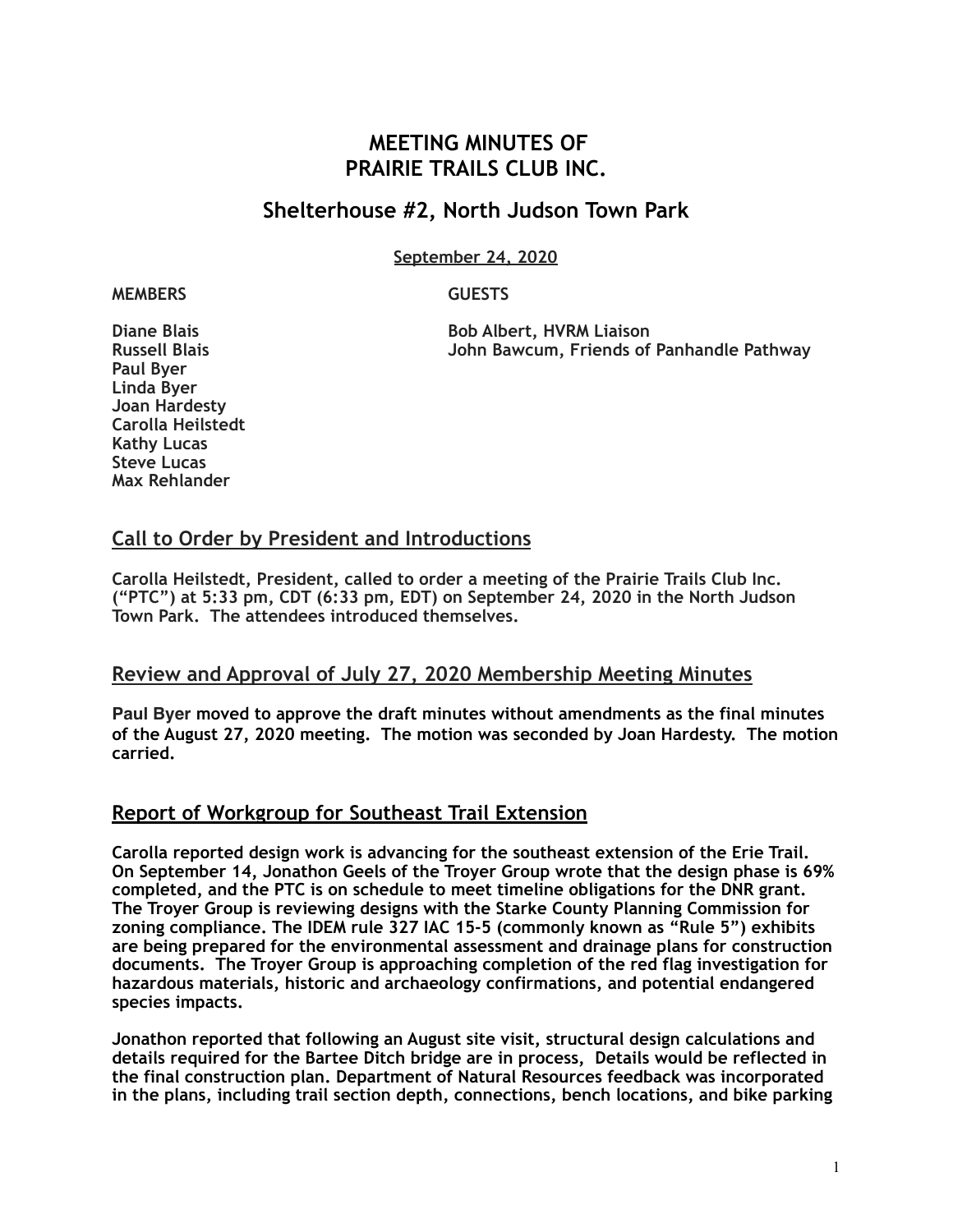# **MEETING MINUTES OF PRAIRIE TRAILS CLUB INC.**

# **Shelterhouse #2, North Judson Town Park**

**September 24, 2020**

#### **MEMBERS GUESTS**

**Paul Byer Linda Byer Joan Hardesty Carolla Heilstedt Kathy Lucas Steve Lucas Max Rehlander**

**Diane Blais Bob Albert, HVRM Liaison John Bawcum, Friends of Panhandle Pathway** 

### **Call to Order by President and Introductions**

**Carolla Heilstedt, President, called to order a meeting of the Prairie Trails Club Inc. ("PTC") at 5:33 pm, CDT (6:33 pm, EDT) on September 24, 2020 in the North Judson Town Park. The attendees introduced themselves.** 

### **Review and Approval of July 27, 2020 Membership Meeting Minutes**

**Paul Byer moved to approve the draft minutes without amendments as the final minutes of the August 27, 2020 meeting. The motion was seconded by Joan Hardesty. The motion carried.** 

# **Report of Workgroup for Southeast Trail Extension**

**Carolla reported design work is advancing for the southeast extension of the Erie Trail. On September 14, Jonathon Geels of the Troyer Group wrote that the design phase is 69% completed, and the PTC is on schedule to meet timeline obligations for the DNR grant. The Troyer Group is reviewing designs with the Starke County Planning Commission for zoning compliance. The IDEM rule 327 IAC 15-5 (commonly known as "Rule 5") exhibits are being prepared for the environmental assessment and drainage plans for construction documents. The Troyer Group is approaching completion of the red flag investigation for hazardous materials, historic and archaeology confirmations, and potential endangered species impacts.** 

**Jonathon reported that following an August site visit, structural design calculations and details required for the Bartee Ditch bridge are in process, Details would be reflected in the final construction plan. Department of Natural Resources feedback was incorporated in the plans, including trail section depth, connections, bench locations, and bike parking**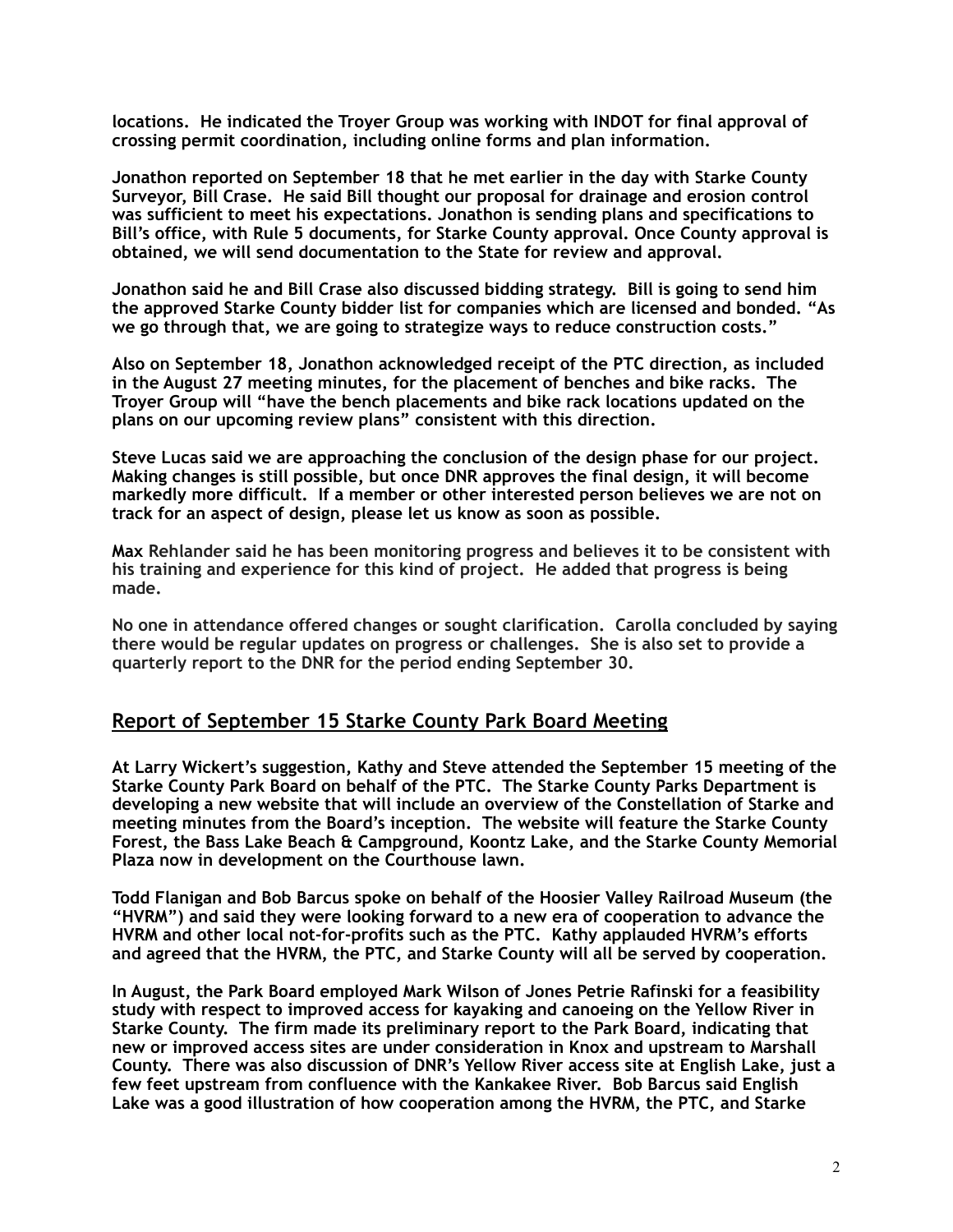**locations. He indicated the Troyer Group was working with INDOT for final approval of crossing permit coordination, including online forms and plan information.** 

**Jonathon reported on September 18 that he met earlier in the day with Starke County Surveyor, Bill Crase. He said Bill thought our proposal for drainage and erosion control was sufficient to meet his expectations. Jonathon is sending plans and specifications to Bill's office, with Rule 5 documents, for Starke County approval. Once County approval is obtained, we will send documentation to the State for review and approval.**

**Jonathon said he and Bill Crase also discussed bidding strategy. Bill is going to send him the approved Starke County bidder list for companies which are licensed and bonded. "As we go through that, we are going to strategize ways to reduce construction costs."** 

**Also on September 18, Jonathon acknowledged receipt of the PTC direction, as included in the August 27 meeting minutes, for the placement of benches and bike racks. The Troyer Group will "have the bench placements and bike rack locations updated on the plans on our upcoming review plans" consistent with this direction.** 

**Steve Lucas said we are approaching the conclusion of the design phase for our project. Making changes is still possible, but once DNR approves the final design, it will become markedly more difficult. If a member or other interested person believes we are not on track for an aspect of design, please let us know as soon as possible.** 

**Max Rehlander said he has been monitoring progress and believes it to be consistent with his training and experience for this kind of project. He added that progress is being made.** 

**No one in attendance offered changes or sought clarification. Carolla concluded by saying there would be regular updates on progress or challenges. She is also set to provide a quarterly report to the DNR for the period ending September 30.** 

### **Report of September 15 Starke County Park Board Meeting**

**At Larry Wickert's suggestion, Kathy and Steve attended the September 15 meeting of the Starke County Park Board on behalf of the PTC. The Starke County Parks Department is developing a new website that will include an overview of the Constellation of Starke and meeting minutes from the Board's inception. The website will feature the Starke County Forest, the Bass Lake Beach & Campground, Koontz Lake, and the Starke County Memorial Plaza now in development on the Courthouse lawn.** 

**Todd Flanigan and Bob Barcus spoke on behalf of the Hoosier Valley Railroad Museum (the "HVRM") and said they were looking forward to a new era of cooperation to advance the HVRM and other local not-for-profits such as the PTC. Kathy applauded HVRM's efforts and agreed that the HVRM, the PTC, and Starke County will all be served by cooperation.** 

**In August, the Park Board employed Mark Wilson of Jones Petrie Rafinski for a feasibility study with respect to improved access for kayaking and canoeing on the Yellow River in Starke County. The firm made its preliminary report to the Park Board, indicating that new or improved access sites are under consideration in Knox and upstream to Marshall County. There was also discussion of DNR's Yellow River access site at English Lake, just a few feet upstream from confluence with the Kankakee River. Bob Barcus said English Lake was a good illustration of how cooperation among the HVRM, the PTC, and Starke**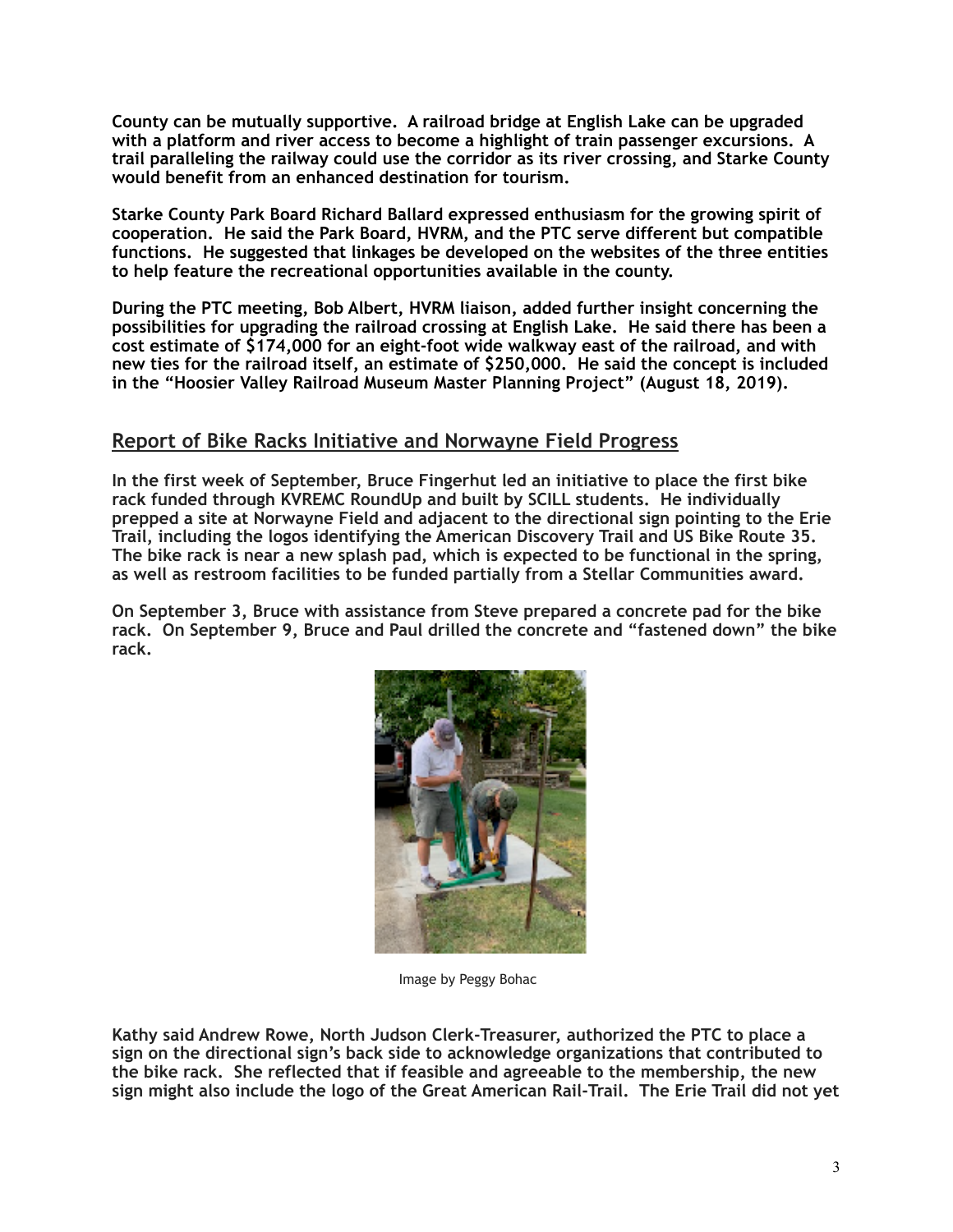**County can be mutually supportive. A railroad bridge at English Lake can be upgraded with a platform and river access to become a highlight of train passenger excursions. A trail paralleling the railway could use the corridor as its river crossing, and Starke County would benefit from an enhanced destination for tourism.** 

**Starke County Park Board Richard Ballard expressed enthusiasm for the growing spirit of cooperation. He said the Park Board, HVRM, and the PTC serve different but compatible functions. He suggested that linkages be developed on the websites of the three entities to help feature the recreational opportunities available in the county.** 

**During the PTC meeting, Bob Albert, HVRM liaison, added further insight concerning the possibilities for upgrading the railroad crossing at English Lake. He said there has been a cost estimate of \$174,000 for an eight-foot wide walkway east of the railroad, and with new ties for the railroad itself, an estimate of \$250,000. He said the concept is included in the "Hoosier Valley Railroad Museum Master Planning Project" (August 18, 2019).** 

### **Report of Bike Racks Initiative and Norwayne Field Progress**

**In the first week of September, Bruce Fingerhut led an initiative to place the first bike rack funded through KVREMC RoundUp and built by SCILL students. He individually prepped a site at Norwayne Field and adjacent to the directional sign pointing to the Erie Trail, including the logos identifying the American Discovery Trail and US Bike Route 35. The bike rack is near a new splash pad, which is expected to be functional in the spring, as well as restroom facilities to be funded partially from a Stellar Communities award.** 

**On September 3, Bruce with assistance from Steve prepared a concrete pad for the bike rack. On September 9, Bruce and Paul drilled the concrete and "fastened down" the bike rack.** 



Image by Peggy Bohac

**Kathy said Andrew Rowe, North Judson Clerk-Treasurer, authorized the PTC to place a sign on the directional sign's back side to acknowledge organizations that contributed to the bike rack. She reflected that if feasible and agreeable to the membership, the new sign might also include the logo of the Great American Rail-Trail. The Erie Trail did not yet**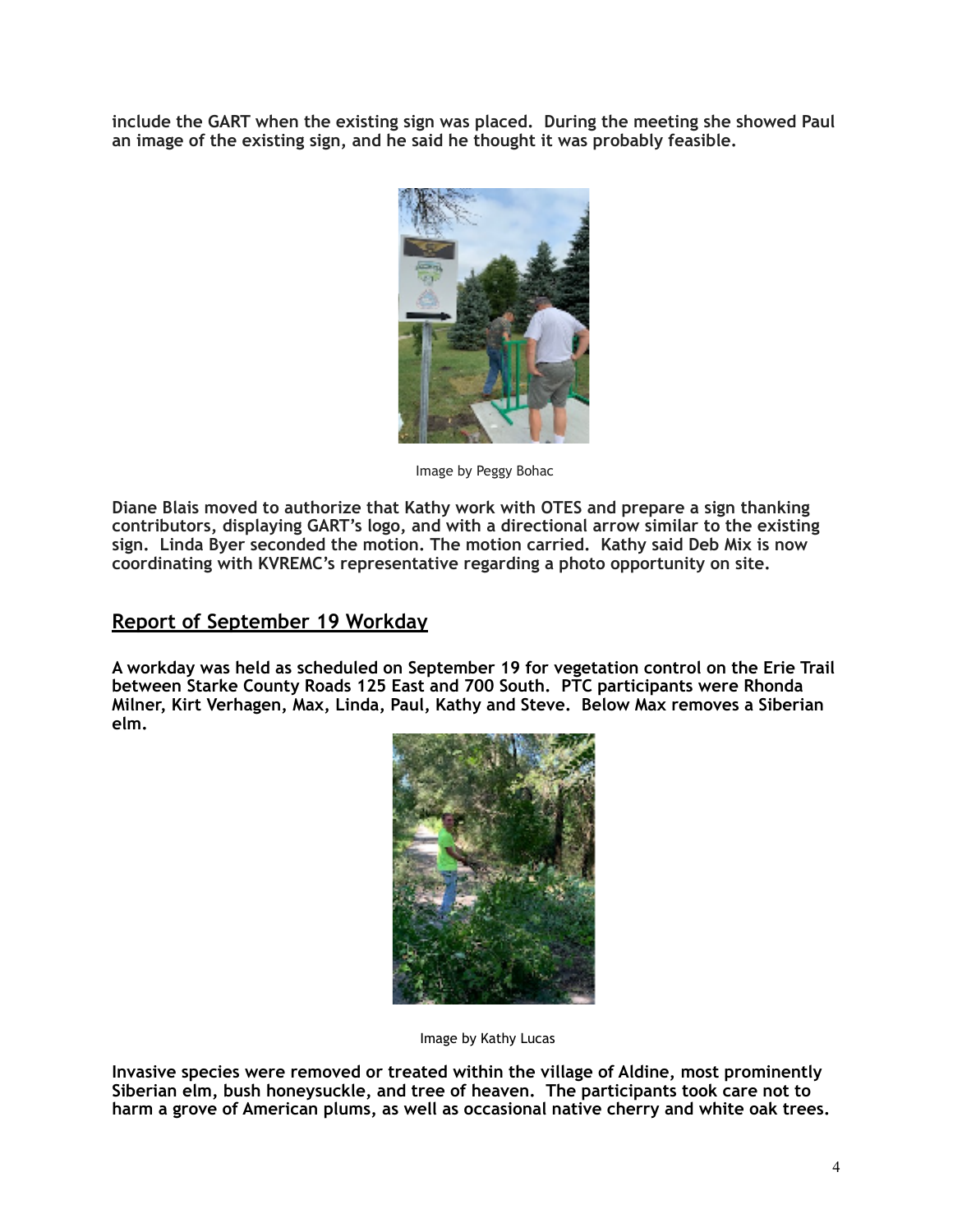**include the GART when the existing sign was placed. During the meeting she showed Paul an image of the existing sign, and he said he thought it was probably feasible.** 



Image by Peggy Bohac

**Diane Blais moved to authorize that Kathy work with OTES and prepare a sign thanking contributors, displaying GART's logo, and with a directional arrow similar to the existing sign. Linda Byer seconded the motion. The motion carried. Kathy said Deb Mix is now coordinating with KVREMC's representative regarding a photo opportunity on site.** 

### **Report of September 19 Workday**

**A workday was held as scheduled on September 19 for vegetation control on the Erie Trail between Starke County Roads 125 East and 700 South. PTC participants were Rhonda Milner, Kirt Verhagen, Max, Linda, Paul, Kathy and Steve. Below Max removes a Siberian elm.** 



Image by Kathy Lucas

**Invasive species were removed or treated within the village of Aldine, most prominently Siberian elm, bush honeysuckle, and tree of heaven. The participants took care not to harm a grove of American plums, as well as occasional native cherry and white oak trees.**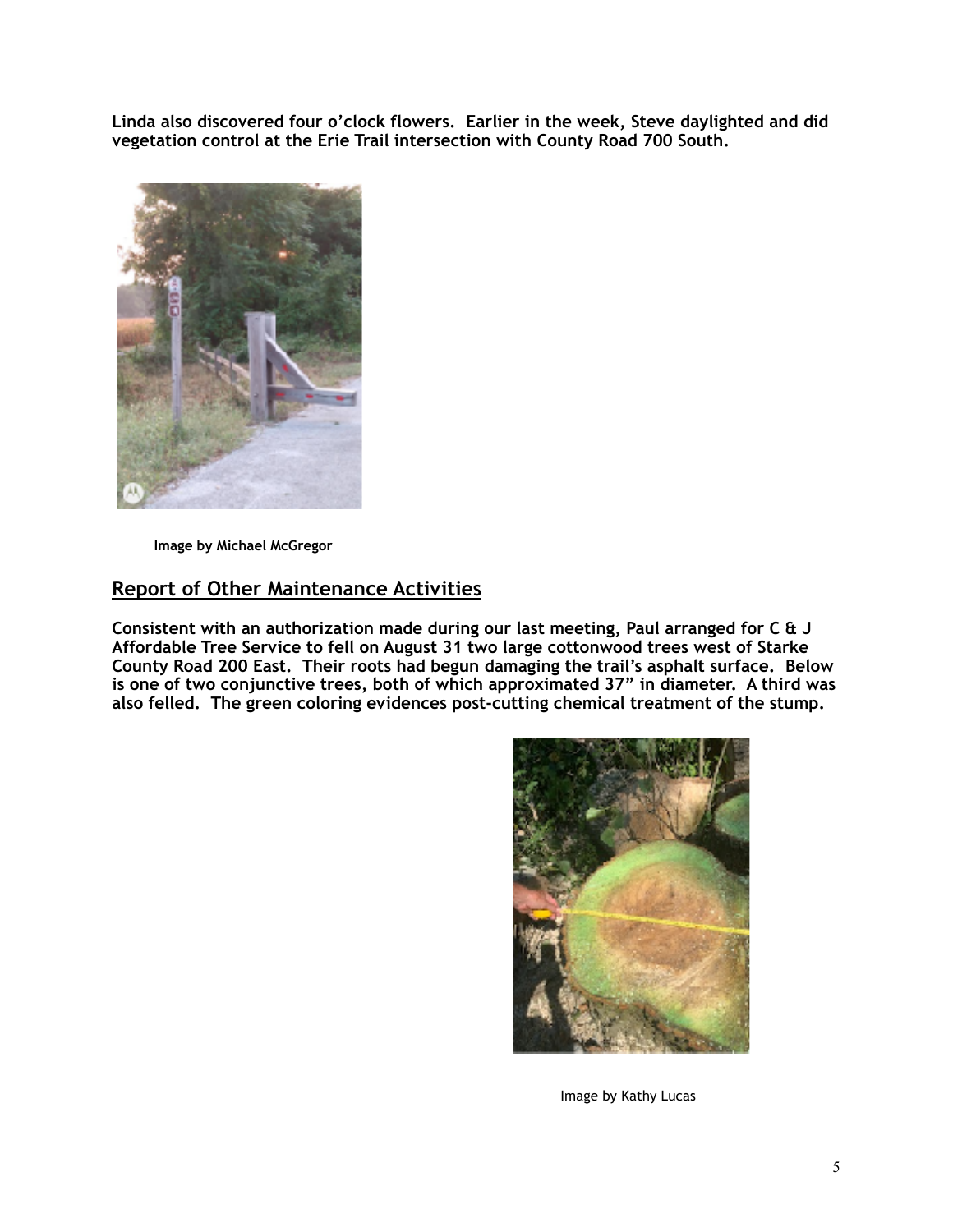**Linda also discovered four o'clock flowers. Earlier in the week, Steve daylighted and did vegetation control at the Erie Trail intersection with County Road 700 South.**



 **Image by Michael McGregor** 

# **Report of Other Maintenance Activities**

**Consistent with an authorization made during our last meeting, Paul arranged for C & J Affordable Tree Service to fell on August 31 two large cottonwood trees west of Starke County Road 200 East. Their roots had begun damaging the trail's asphalt surface. Below is one of two conjunctive trees, both of which approximated 37" in diameter. A third was also felled. The green coloring evidences post-cutting chemical treatment of the stump.**



Image by Kathy Lucas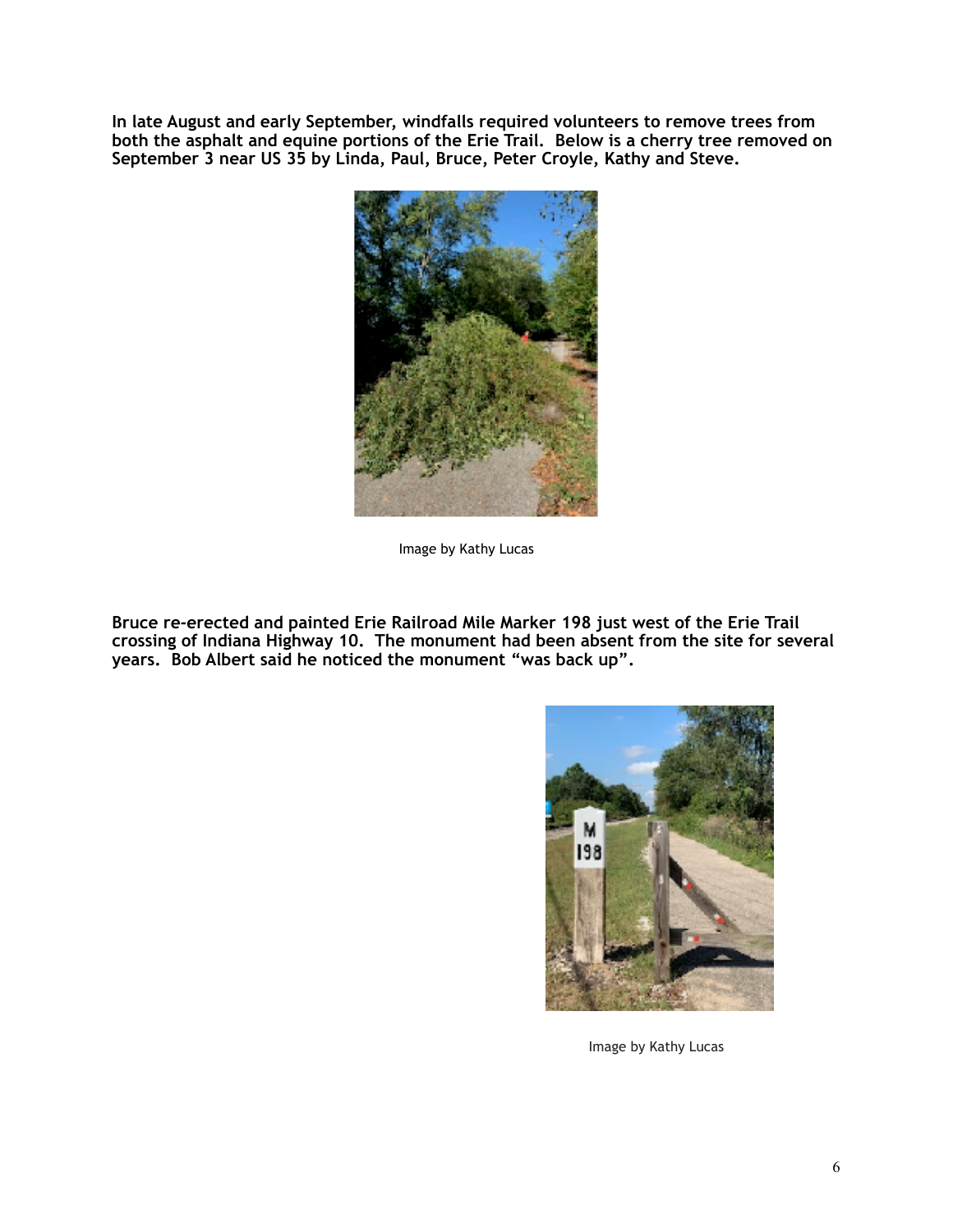**In late August and early September, windfalls required volunteers to remove trees from both the asphalt and equine portions of the Erie Trail. Below is a cherry tree removed on September 3 near US 35 by Linda, Paul, Bruce, Peter Croyle, Kathy and Steve.**



Image by Kathy Lucas

**Bruce re-erected and painted Erie Railroad Mile Marker 198 just west of the Erie Trail crossing of Indiana Highway 10. The monument had been absent from the site for several years. Bob Albert said he noticed the monument "was back up".** 



Image by Kathy Lucas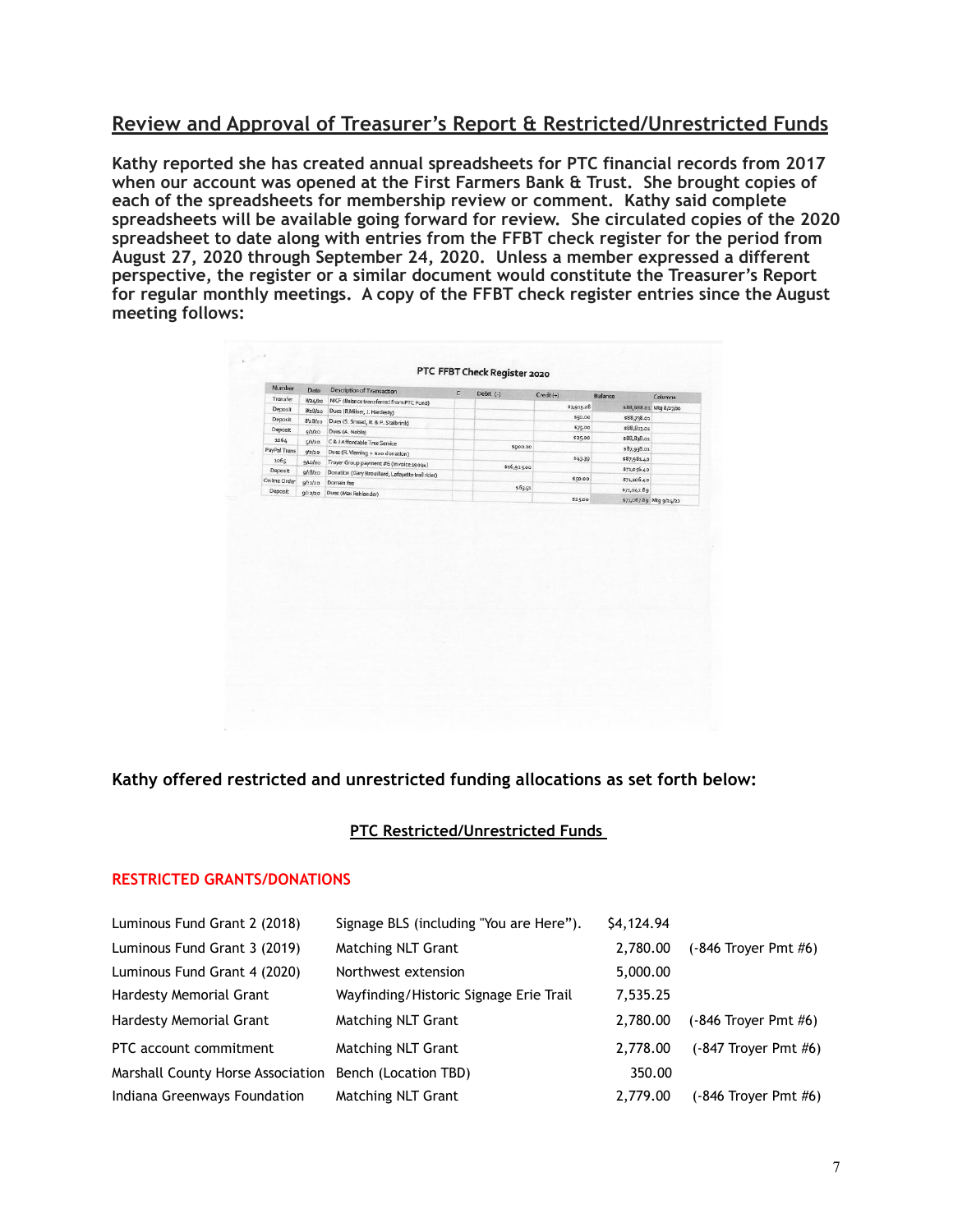### **Review and Approval of Treasurer's Report & Restricted/Unrestricted Funds**

**Kathy reported she has created annual spreadsheets for PTC financial records from 2017 when our account was opened at the First Farmers Bank & Trust. She brought copies of each of the spreadsheets for membership review or comment. Kathy said complete spreadsheets will be available going forward for review. She circulated copies of the 2020 spreadsheet to date along with entries from the FFBT check register for the period from August 27, 2020 through September 24, 2020. Unless a member expressed a different perspective, the register or a similar document would constitute the Treasurer's Report for regular monthly meetings. A copy of the FFBT check register entries since the August meeting follows:**

| Balance<br>Columna<br>s88,688.o1 Mtg 8/27/20 |
|----------------------------------------------|
|                                              |
|                                              |
|                                              |
| \$88,738.01                                  |
| \$88,813.01                                  |
| \$88,838.01                                  |
| \$87,938.01                                  |
| \$87,981.40                                  |
| \$71,056.40                                  |
| \$71,106.40                                  |
| \$71,042.89                                  |
|                                              |

### **Kathy offered restricted and unrestricted funding allocations as set forth below:**

#### **PTC Restricted/Unrestricted Funds**

#### **RESTRICTED GRANTS/DONATIONS**

| Signage BLS (including "You are Here").                   | \$4,124.94 |                          |
|-----------------------------------------------------------|------------|--------------------------|
| <b>Matching NLT Grant</b>                                 | 2,780.00   | $(-846$ Trover Pmt $#6)$ |
| Northwest extension                                       | 5,000.00   |                          |
| Wayfinding/Historic Signage Erie Trail                    | 7,535.25   |                          |
| <b>Matching NLT Grant</b>                                 | 2.780.00   | $(-846$ Trover Pmt $#6)$ |
| <b>Matching NLT Grant</b>                                 | 2,778.00   | $(-847$ Trover Pmt $#6)$ |
| Marshall County Horse Association<br>Bench (Location TBD) | 350.00     |                          |
| <b>Matching NLT Grant</b>                                 | 2,779.00   | $(-846$ Troyer Pmt $#6)$ |
|                                                           |            |                          |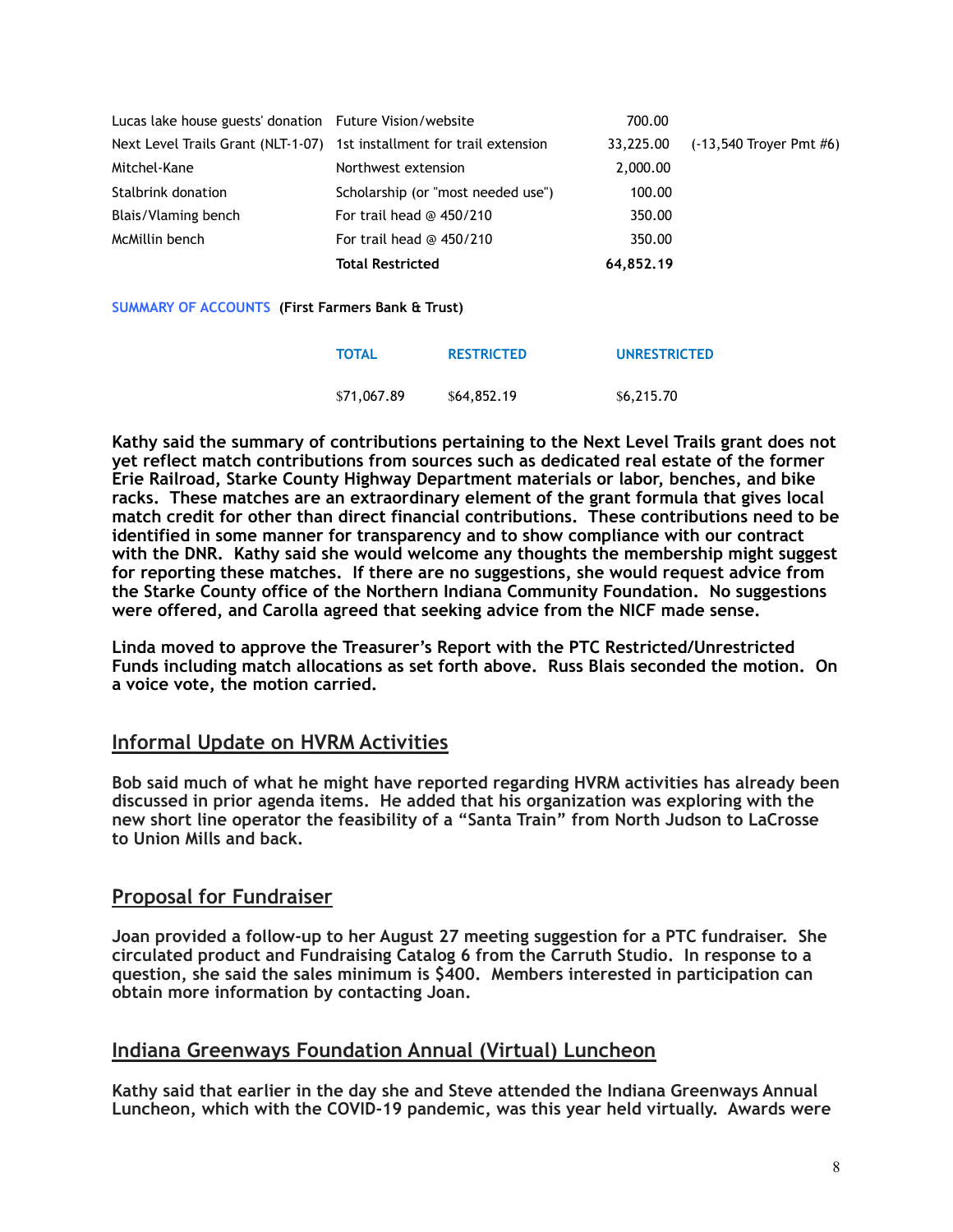|                                                         | <b>Total Restricted</b>                                                | 64,852.19 |                             |
|---------------------------------------------------------|------------------------------------------------------------------------|-----------|-----------------------------|
| McMillin bench                                          | For trail head $@$ 450/210                                             | 350.00    |                             |
| Blais/Vlaming bench                                     | For trail head $@$ 450/210                                             | 350.00    |                             |
| Stalbrink donation                                      | Scholarship (or "most needed use")                                     | 100.00    |                             |
| Mitchel-Kane                                            | Northwest extension                                                    | 2,000.00  |                             |
|                                                         | Next Level Trails Grant (NLT-1-07) 1st installment for trail extension | 33.225.00 | $(-13,540$ Trover Pmt $#6)$ |
| Lucas lake house guests' donation Future Vision/website |                                                                        | 700.00    |                             |

**SUMMARY OF ACCOUNTS (First Farmers Bank & Trust)**

| <b>TOTAL</b> | <b>RESTRICTED</b> | <b>UNRESTRICTED</b> |
|--------------|-------------------|---------------------|
| \$71,067.89  | \$64,852.19       | \$6,215.70          |

**Kathy said the summary of contributions pertaining to the Next Level Trails grant does not yet reflect match contributions from sources such as dedicated real estate of the former Erie Railroad, Starke County Highway Department materials or labor, benches, and bike racks. These matches are an extraordinary element of the grant formula that gives local match credit for other than direct financial contributions. These contributions need to be identified in some manner for transparency and to show compliance with our contract with the DNR. Kathy said she would welcome any thoughts the membership might suggest for reporting these matches. If there are no suggestions, she would request advice from the Starke County office of the Northern Indiana Community Foundation. No suggestions were offered, and Carolla agreed that seeking advice from the NICF made sense.** 

**Linda moved to approve the Treasurer's Report with the PTC Restricted/Unrestricted Funds including match allocations as set forth above. Russ Blais seconded the motion. On a voice vote, the motion carried.** 

### **Informal Update on HVRM Activities**

**Bob said much of what he might have reported regarding HVRM activities has already been discussed in prior agenda items. He added that his organization was exploring with the new short line operator the feasibility of a "Santa Train" from North Judson to LaCrosse to Union Mills and back.**

### **Proposal for Fundraiser**

**Joan provided a follow-up to her August 27 meeting suggestion for a PTC fundraiser. She circulated product and Fundraising Catalog 6 from the Carruth Studio. In response to a question, she said the sales minimum is \$400. Members interested in participation can obtain more information by contacting Joan.** 

### **Indiana Greenways Foundation Annual (Virtual) Luncheon**

**Kathy said that earlier in the day she and Steve attended the Indiana Greenways Annual Luncheon, which with the COVID-19 pandemic, was this year held virtually. Awards were**